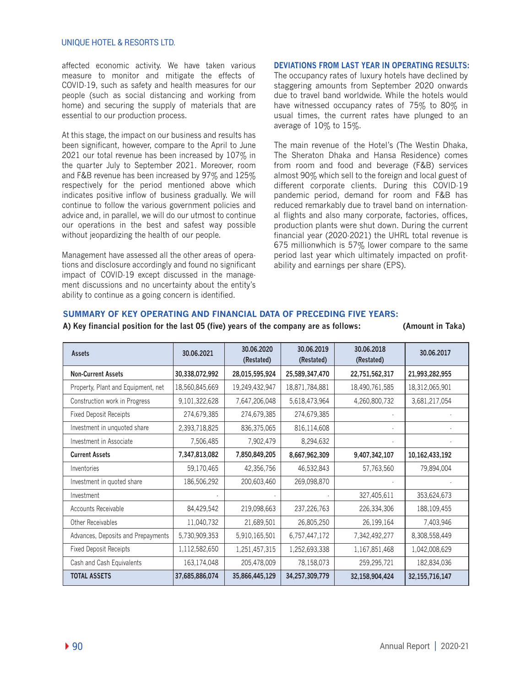### UNIQUE HOTEL & RESORTS LTD.

affected economic activity. We have taken various measure to monitor and mitigate the effects of COVID-19, such as safety and health measures for our people (such as social distancing and working from home) and securing the supply of materials that are essential to our production process.

At this stage, the impact on our business and results has been significant, however, compare to the April to June 2021 our total revenue has been increased by 107% in the quarter July to September 2021. Moreover, room and F&B revenue has been increased by 97% and 125% respectively for the period mentioned above which indicates positive inflow of business gradually. We will continue to follow the various government policies and advice and, in parallel, we will do our utmost to continue our operations in the best and safest way possible without jeopardizing the health of our people.

Management have assessed all the other areas of operations and disclosure accordingly and found no significant impact of COVID-19 except discussed in the management discussions and no uncertainty about the entity's ability to continue as a going concern is identified.

### **DEVIATIONS FROM LAST YEAR IN OPERATING RESULTS:**

The occupancy rates of luxury hotels have declined by staggering amounts from September 2020 onwards due to travel band worldwide. While the hotels would have witnessed occupancy rates of 75% to 80% in usual times, the current rates have plunged to an average of 10% to 15%.

The main revenue of the Hotel's (The Westin Dhaka, The Sheraton Dhaka and Hansa Residence) comes from room and food and beverage (F&B) services almost 90% which sell to the foreign and local guest of different corporate clients. During this COVID-19 pandemic period, demand for room and F&B has reduced remarkably due to travel band on international flights and also many corporate, factories, offices, production plants were shut down. During the current financial year (2020-2021) the UHRL total revenue is 675 millionwhich is 57% lower compare to the same period last year which ultimately impacted on profitability and earnings per share (EPS).

### **SUMMARY OF KEY OPERATING AND FINANCIAL DATA OF PRECEDING FIVE YEARS:**

#### **A) Key financial position for the last 05 (five) years of the company are as follows: (Amount in Taka)**

| Assets                             | 30.06.2021     | 30.06.2020<br>(Restated) | 30.06.2019<br>(Restated) | 30.06.2018<br>(Restated) | 30.06.2017        |
|------------------------------------|----------------|--------------------------|--------------------------|--------------------------|-------------------|
| <b>Non-Current Assets</b>          | 30,338,072,992 | 28,015,595,924           | 25,589,347,470           | 22,751,562,317           | 21,993,282,955    |
| Property, Plant and Equipment, net | 18,560,845,669 | 19,249,432,947           | 18,871,784,881           | 18,490,761,585           | 18,312,065,901    |
| Construction work in Progress      | 9,101,322,628  | 7,647,206,048            | 5,618,473,964            | 4,260,800,732            | 3,681,217,054     |
| <b>Fixed Deposit Receipts</b>      | 274,679,385    | 274,679,385              | 274,679,385              |                          |                   |
| Investment in unquoted share       | 2,393,718,825  | 836,375,065              | 816,114,608              |                          |                   |
| Investment in Associate            | 7,506,485      | 7,902,479                | 8,294,632                |                          |                   |
| <b>Current Assets</b>              | 7,347,813,082  | 7,850,849,205            | 8,667,962,309            | 9,407,342,107            | 10,162,433,192    |
| Inventories                        | 59,170,465     | 42,356,756               | 46,532,843               | 57,763,560               | 79,894,004        |
| Investment in quoted share         | 186,506,292    | 200,603,460              | 269,098,870              |                          |                   |
| Investment                         |                |                          |                          | 327,405,611              | 353,624,673       |
| Accounts Receivable                | 84,429,542     | 219,098,663              | 237,226,763              | 226,334,306              | 188,109,455       |
| Other Receivables                  | 11,040,732     | 21,689,501               | 26,805,250               | 26,199,164               | 7,403,946         |
| Advances, Deposits and Prepayments | 5,730,909,353  | 5,910,165,501            | 6,757,447,172            | 7,342,492,277            | 8,308,558,449     |
| <b>Fixed Deposit Receipts</b>      | 1,112,582,650  | 1,251,457,315            | 1,252,693,338            | 1,167,851,468            | 1,042,008,629     |
| Cash and Cash Equivalents          | 163,174,048    | 205,478,009              | 78,158,073               | 259,295,721              | 182,834,036       |
| <b>TOTAL ASSETS</b>                | 37,685,886,074 | 35,866,445,129           | 34,257,309,779           | 32,158,904,424           | 32, 155, 716, 147 |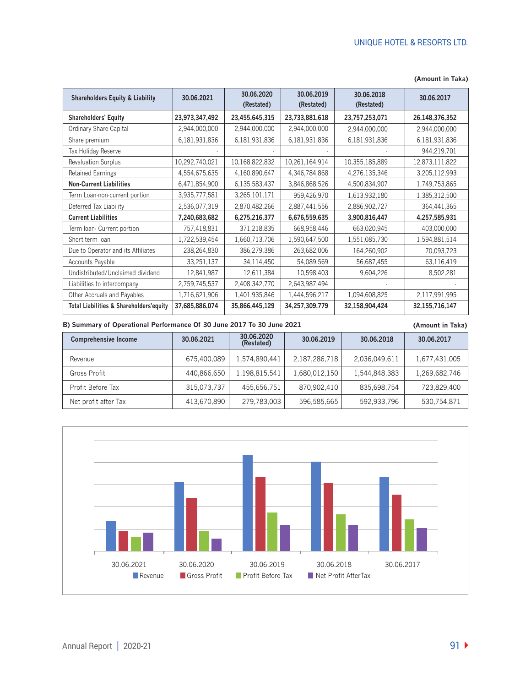| <b>Shareholders Equity &amp; Liability</b>         | 30.06.2021     | 30.06.2020<br>(Restated) | 30.06.2019<br>(Restated) | 30.06.2018<br>(Restated) | 30.06.2017        |
|----------------------------------------------------|----------------|--------------------------|--------------------------|--------------------------|-------------------|
| <b>Shareholders' Equity</b>                        | 23,973,347,492 | 23,455,645,315           | 23,733,881,618           | 23,757,253,071           | 26, 148, 376, 352 |
| Ordinary Share Capital                             | 2,944,000,000  | 2,944,000,000            | 2,944,000,000            | 2,944,000,000            | 2,944,000,000     |
| Share premium                                      | 6,181,931,836  | 6,181,931,836            | 6,181,931,836            | 6,181,931,836            | 6,181,931,836     |
| Tax Holiday Reserve                                |                |                          |                          |                          | 944,219,701       |
| <b>Revaluation Surplus</b>                         | 10,292,740,021 | 10,168,822,832           | 10,261,164,914           | 10,355,185,889           | 12,873,111,822    |
| <b>Retained Earnings</b>                           | 4,554,675,635  | 4,160,890,647            | 4,346,784,868            | 4,276,135,346            | 3,205,112,993     |
| <b>Non-Current Liabilities</b>                     | 6,471,854,900  | 6,135,583,437            | 3,846,868,526            | 4,500,834,907            | 1,749,753,865     |
| Term Loan-non-current portion                      | 3,935,777,581  | 3,265,101,171            | 959,426,970              | 1,613,932,180            | 1,385,312,500     |
| Deferred Tax Liability                             | 2,536,077,319  | 2,870,482,266            | 2,887,441,556            | 2,886,902,727            | 364,441,365       |
| <b>Current Liabilities</b>                         | 7,240,683,682  | 6,275,216,377            | 6,676,559,635            | 3,900,816,447            | 4,257,585,931     |
| Term Ioan Current portion                          | 757,418,831    | 371,218,835              | 668,958,446              | 663,020,945              | 403,000,000       |
| Short term loan                                    | 1,722,539,454  | 1,660,713,706            | 1,590,647,500            | 1,551,085,730            | 1,594,881,514     |
| Due to Operator and its Affiliates                 | 238,264,830    | 386,279,386              | 263,682,006              | 164,260,902              | 70,093,723        |
| Accounts Payable                                   | 33,251,137     | 34,114,450               | 54,089,569               | 56,687,455               | 63,116,419        |
| Undistributed/Unclaimed dividend                   | 12,841,987     | 12,611,384               | 10,598,403               | 9,604,226                | 8,502,281         |
| Liabilities to intercompany                        | 2,759,745,537  | 2,408,342,770            | 2,643,987,494            |                          |                   |
| Other Accruals and Payables                        | 1,716,621,906  | 1,401,935,846            | 1,444,596,217            | 1,094,608,825            | 2,117,991,995     |
| <b>Total Liabilities &amp; Shareholders'equity</b> | 37,685,886,074 | 35,866,445,129           | 34,257,309,779           | 32,158,904,424           | 32, 155, 716, 147 |

#### **(Amount in Taka)**

**B) Summary of Operational Performance Of 30 June 2017 To 30 June 2021**

#### **(Amount in Taka)**

| <b>Comprehensive Income</b> | 30.06.2021  | 30.06.2020<br>(Restated) | 30.06.2019    | 30.06.2018    | 30.06.2017    |
|-----------------------------|-------------|--------------------------|---------------|---------------|---------------|
| Revenue                     | 675,400,089 | 1,574,890,441            | 2,187,286,718 | 2,036,049,611 | 1,677,431,005 |
| Gross Profit                | 440,866,650 | 1,198,815,541            | 1,680,012,150 | 1,544,848,383 | 1,269,682,746 |
| Profit Before Tax           | 315,073,737 | 455,656,751              | 870,902,410   | 835,698,754   | 723,829,400   |
| Net profit after Tax        | 413,670,890 | 279,783,003              | 596,585,665   | 592,933,796   | 530,754,871   |